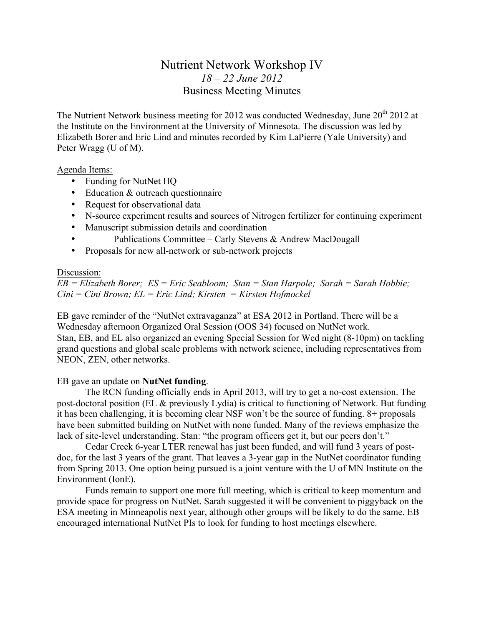# Nutrient Network Workshop IV *18 – 22 June 2012* Business Meeting Minutes

The Nutrient Network business meeting for 2012 was conducted Wednesday, June  $20^{th}$  2012 at the Institute on the Environment at the University of Minnesota. The discussion was led by Elizabeth Borer and Eric Lind and minutes recorded by Kim LaPierre (Yale University) and Peter Wragg (U of M).

# Agenda Items:

- Funding for NutNet HQ
- Education & outreach questionnaire
- Request for observational data
- N-source experiment results and sources of Nitrogen fertilizer for continuing experiment
- Manuscript submission details and coordination
- Publications Committee Carly Stevens & Andrew MacDougall
- Proposals for new all-network or sub-network projects

## Discussion:

*EB = Elizabeth Borer; ES = Eric Seabloom; Stan = Stan Harpole; Sarah = Sarah Hobbie; Cini = Cini Brown; EL = Eric Lind; Kirsten = Kirsten Hofmockel*

EB gave reminder of the "NutNet extravaganza" at ESA 2012 in Portland. There will be a Wednesday afternoon Organized Oral Session (OOS 34) focused on NutNet work. Stan, EB, and EL also organized an evening Special Session for Wed night (8-10pm) on tackling grand questions and global scale problems with network science, including representatives from NEON, ZEN, other networks.

# EB gave an update on **NutNet funding**.

The RCN funding officially ends in April 2013, will try to get a no-cost extension. The post-doctoral position (EL & previously Lydia) is critical to functioning of Network. But funding it has been challenging, it is becoming clear NSF won't be the source of funding. 8+ proposals have been submitted building on NutNet with none funded. Many of the reviews emphasize the lack of site-level understanding. Stan: "the program officers get it, but our peers don't."

Cedar Creek 6-year LTER renewal has just been funded, and will fund 3 years of postdoc, for the last 3 years of the grant. That leaves a 3-year gap in the NutNet coordinator funding from Spring 2013. One option being pursued is a joint venture with the U of MN Institute on the Environment (IonE).

Funds remain to support one more full meeting, which is critical to keep momentum and provide space for progress on NutNet. Sarah suggested it will be convenient to piggyback on the ESA meeting in Minneapolis next year, although other groups will be likely to do the same. EB encouraged international NutNet PIs to look for funding to host meetings elsewhere.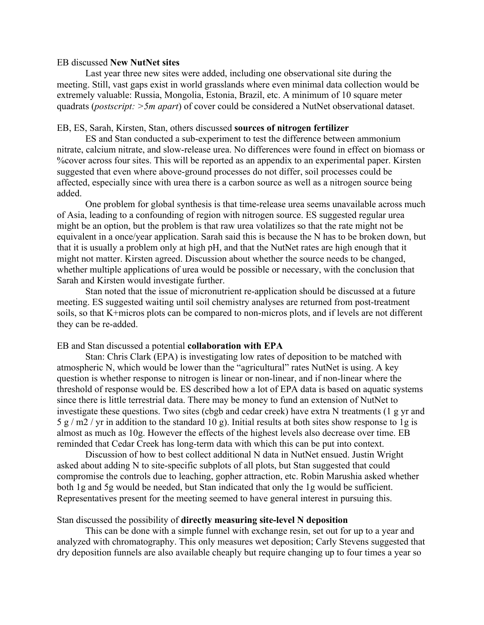#### EB discussed **New NutNet sites**

Last year three new sites were added, including one observational site during the meeting. Still, vast gaps exist in world grasslands where even minimal data collection would be extremely valuable: Russia, Mongolia, Estonia, Brazil, etc. A minimum of 10 square meter quadrats (*postscript: >5m apart*) of cover could be considered a NutNet observational dataset.

## EB, ES, Sarah, Kirsten, Stan, others discussed **sources of nitrogen fertilizer**

ES and Stan conducted a sub-experiment to test the difference between ammonium nitrate, calcium nitrate, and slow-release urea. No differences were found in effect on biomass or %cover across four sites. This will be reported as an appendix to an experimental paper. Kirsten suggested that even where above-ground processes do not differ, soil processes could be affected, especially since with urea there is a carbon source as well as a nitrogen source being added.

One problem for global synthesis is that time-release urea seems unavailable across much of Asia, leading to a confounding of region with nitrogen source. ES suggested regular urea might be an option, but the problem is that raw urea volatilizes so that the rate might not be equivalent in a once/year application. Sarah said this is because the N has to be broken down, but that it is usually a problem only at high pH, and that the NutNet rates are high enough that it might not matter. Kirsten agreed. Discussion about whether the source needs to be changed, whether multiple applications of urea would be possible or necessary, with the conclusion that Sarah and Kirsten would investigate further.

Stan noted that the issue of micronutrient re-application should be discussed at a future meeting. ES suggested waiting until soil chemistry analyses are returned from post-treatment soils, so that K+micros plots can be compared to non-micros plots, and if levels are not different they can be re-added.

#### EB and Stan discussed a potential **collaboration with EPA**

Stan: Chris Clark (EPA) is investigating low rates of deposition to be matched with atmospheric N, which would be lower than the "agricultural" rates NutNet is using. A key question is whether response to nitrogen is linear or non-linear, and if non-linear where the threshold of response would be. ES described how a lot of EPA data is based on aquatic systems since there is little terrestrial data. There may be money to fund an extension of NutNet to investigate these questions. Two sites (cbgb and cedar creek) have extra N treatments (1 g yr and  $5 g/m2 / yr$  in addition to the standard 10 g). Initial results at both sites show response to 1g is almost as much as 10g. However the effects of the highest levels also decrease over time. EB reminded that Cedar Creek has long-term data with which this can be put into context.

Discussion of how to best collect additional N data in NutNet ensued. Justin Wright asked about adding N to site-specific subplots of all plots, but Stan suggested that could compromise the controls due to leaching, gopher attraction, etc. Robin Marushia asked whether both 1g and 5g would be needed, but Stan indicated that only the 1g would be sufficient. Representatives present for the meeting seemed to have general interest in pursuing this.

## Stan discussed the possibility of **directly measuring site-level N deposition**

This can be done with a simple funnel with exchange resin, set out for up to a year and analyzed with chromatography. This only measures wet deposition; Carly Stevens suggested that dry deposition funnels are also available cheaply but require changing up to four times a year so